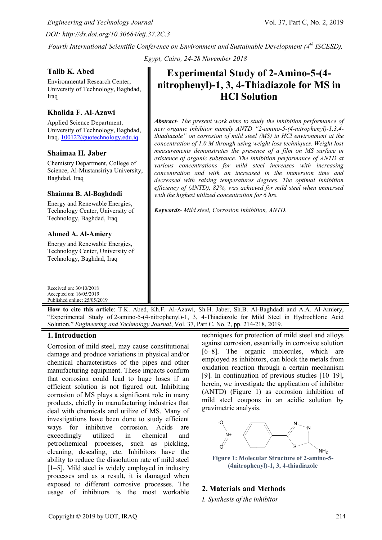*Engineering and Technology Journal* Vol. 37, Part C, No. 2, 2019 *DOI: http://dx.doi.org/10.30684/etj.37.2C.3*

*Fourth International Scientific Conference on Environment and Sustainable Development (4th ISCESD), Egypt, Cairo, 24-28 November 2018*

### **Talib K. Abed**

Environmental Research Center, University of Technology, Baghdad, Iraq

# **Khalida F. Al-Azawi**

Applied Science Department, University of Technology, Baghdad, Iraq. [100122@uotechnology.edu.iq](mailto:100122@uotechnology.edu.iq)

#### **Shaimaa H. Jaber**

Chemistry Department, College of Science, Al-Mustansiriya University, Baghdad, Iraq

#### **Shaimaa B. Al-Baghdadi**

Energy and Renewable Energies, Technology Center, University of Technology, Baghdad, Iraq

#### **Ahmed A. Al-Amiery**

Energy and Renewable Energies, Technology Center, University of Technology, Baghdad, Iraq

Received on: 30/10/2018 Accepted on: 16/05/2019 Published online: 25/05/2019

# **Experimental Study of 2-Amino-5-(4 nitrophenyl)-1, 3, 4-Thiadiazole for MS in HCl Solution**

*Abstract- The present work aims to study the inhibition performance of new organic inhibitor namely ANTD "2-amino-5-(4-nitrophenyl)-1,3,4 thiadiazole" on corrosion of mild steel (MS) in HCl environment at the concentration of 1.0 M through using weight loss techniques. Weight lost measurements demonstrates the presence of a film on MS surface in existence of organic substance. The inhibition performance of ANTD at various concentrations for mild steel increases with increasing concentration and with an increased in the immersion time and decreased with raising temperatures degrees. The optimal inhibition efficiency of (ANTD), 82%, was achieved for mild steel when immersed with the highest utilized concentration for 6 hrs.*

*Keywords- Mild steel, Corrosion Inhibition, ANTD.*

**How to cite this article**: T.K. Abed, Kh.F. Al-Azawi, Sh.H. Jaber, Sh.B. Al-Baghdadi and A.A. Al-Amiery, "Experimental Study of 2-amino-5-(4-nitrophenyl)-1, 3, 4-Thiadiazole for Mild Steel in Hydrochloric Acid Solution," *Engineering and Technology Journal*, Vol. 37, Part C, No. 2, pp. 214-218, 2019.

# **1.Introduction**

Corrosion of mild steel, may cause constitutional damage and produce variations in physical and/or chemical characteristics of the pipes and other manufacturing equipment. These impacts confirm that corrosion could lead to huge loses if an efficient solution is not figured out. Inhibiting corrosion of MS plays a significant role in many products, chiefly in manufacturing industries that deal with chemicals and utilize of MS. Many of investigations have been done to study efficient ways for inhibitive corrosion. Acids are exceedingly utilized in chemical and petrochemical processes, such as pickling, cleaning, descaling, etc. Inhibitors have the ability to reduce the dissolution rate of mild steel [1–5]. Mild steel is widely employed in industry processes and as a result, it is damaged when exposed to different corrosive processes. The usage of inhibitors is the most workable

techniques for protection of mild steel and alloys against corrosion, essentially in corrosive solution [6–8]. The organic molecules, which are employed as inhibitors, can block the metals from oxidation reaction through a certain mechanism [9]. In continuation of previous studies [10–19], herein, we investigate the application of inhibitor (ANTD) (Figure 1) as corrosion inhibition of mild steel coupons in an acidic solution by gravimetric analysis.



**Figure 1: Molecular Structure of 2-amino-5- (4nitrophenyl)-1, 3, 4-thiadiazole**

# **2. Materials and Methods**

*I. Synthesis of the inhibitor*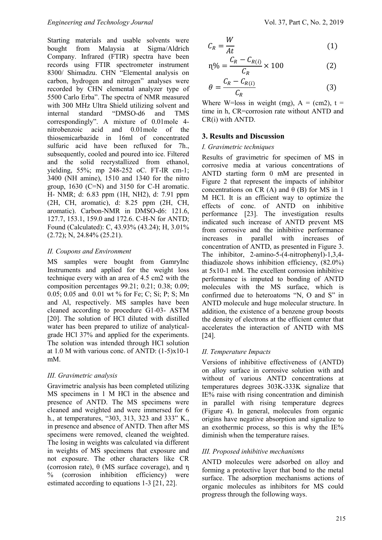Starting materials and usable solvents were bought from Malaysia at Sigma/Aldrich Company. Infrared (FTIR) spectra have been records using FTIR spectrometer instrument 8300/ Shimadzu. CHN "Elemental analysis on carbon, hydrogen and nitrogen" analyses were recorded by CHN elemental analyzer type of 5500 Carlo Erba". The spectra of NMR measured with 300 MHz Ultra Shield utilizing solvent and internal standard "DMSO-d6 and TMS correspondingly". A mixture of 0.01mole 4 nitrobenzoic acid and 0.01mole of the thiosemicarbazide in 16ml of concentrated sulfuric acid have been refluxed for 7h., subsequently, cooled and poured into ice. Filtered and the solid recrystallized from ethanol, yielding, 55%; mp 248-252 oC. FT-IR cm-1; 3400 (NH amine), 1510 and 1340 for the nitro group, 1630 (C=N) and 3150 for C-H aromatic. H- NMR; d: 6.83 ppm (1H, NH2), d: 7.91 ppm (2H, CH, aromatic), d: 8.25 ppm (2H, CH, aromatic). Carbon-NMR in DMSO-d6: 121.6, 127.7, 153.1, 159.0 and 172.6. C-H-N for ANTD; Found (Calculated): C, 43.93% (43.24); H, 3.01% (2.72); N, 24.84% (25.21).

#### *II. Coupons and Environment*

MS samples were bought from GamryInc Instruments and applied for the weight loss technique every with an area of 4.5 cm2 with the composition percentages 99.21; 0.21; 0.38; 0.09; 0.05; 0.05 and 0.01 wt % for Fe; C; Si; P; S; Mn and Al, respectively. MS samples have been cleaned according to procedure G1-03- ASTM [20]. The solution of HCl diluted with distilled water has been prepared to utilize of analyticalgrade HCl 37% and applied for the experiments. The solution was intended through HCl solution at 1.0 M with various conc. of ANTD: (1-5)x10-1 mM.

# *III. Gravimetric analysis*

Gravimetric analysis has been completed utilizing MS specimens in 1 M HCl in the absence and presence of ANTD. The MS specimens were cleaned and weighted and were immersed for 6 h., at temperatures, "303, 313, 323 and 333" K., in presence and absence of ANTD. Then after MS specimens were removed, cleaned the weighted. The losing in weights was calculated via different in weights of MS specimens that exposure and not exposure. The other characters like CR (corrosion rate), θ (MS surface coverage), and η % (corrosion inhibition efficiency) were estimated according to equations 1-3 [21, 22].

$$
C_R = \frac{W}{At}
$$
 (1)

$$
n\% = \frac{C_R - C_{R(i)}}{C_R} \times 100
$$
 (2)

$$
\theta = \frac{C_R - C_{R(i)}}{C_R} \tag{3}
$$

Where W=loss in weight (mg),  $A = (cm2)$ ,  $t =$ time in h, CR=corrosion rate without ANTD and CR(i) with ANTD.

#### **3. Results and Discussion**

#### *I. Gravimetric techniques*

Results of gravimetric for specimen of MS in corrosive media at various concentrations of ANTD starting form 0 mM are presented in Figure 2 that represent the impacts of inhibitor concentrations on CR (A) and  $\theta$  (B) for MS in 1 M HCl. It is an efficient way to optimize the effects of conc. of ANTD on inhibitive performance [23]. The investigation results indicated such increase of ANTD prevent MS from corrosive and the inhibitive performance<br>increases in parallel with increases of increases in parallel with increases of concentration of ANTD, as presented in Figure 3. The inhibitor, 2-amino-5-(4-nitrophenyl)-1,3,4 thiadiazole shows inhibition efficiency, (82.0%) at 5x10-1 mM. The excellent corrosion inhibitive performance is imputed to bonding of ANTD molecules with the MS surface, which is confirmed due to heteroatoms "N, O and S" in ANTD molecule and huge molecular structure. In addition, the existence of a benzene group boosts the density of electrons at the efficient center that accelerates the interaction of ANTD with MS [24].

# *II. Temperature Impacts*

Versions of inhibitive effectiveness of (ANTD) on alloy surface in corrosive solution with and without of various ANTD concentrations at temperatures degrees 303K-333K signalize that IE% raise with rising concentration and diminish in parallel with rising temperature degrees (Figure 4). In general, molecules from organic origins have negative absorption and signalize to an exothermic process, so this is why the IE% diminish when the temperature raises.

# *III. Proposed inhibitive mechanisms*

ANTD molecules were adsorbed on alloy and forming a protective layer that bond to the metal surface. The adsorption mechanisms actions of organic molecules as inhibitors for MS could progress through the following ways.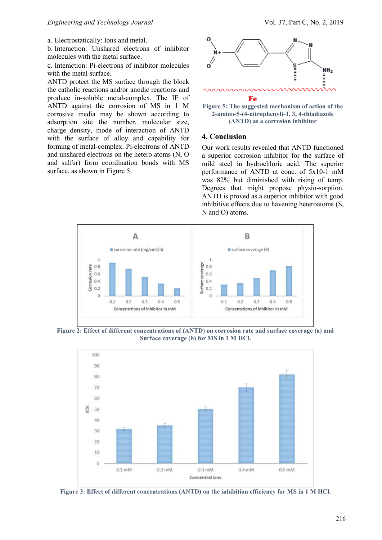a. Electrostatically: Ions and metal.

b. Interaction: Unshared electrons of inhibitor molecules with the metal surface.

c. Interaction: Pi-electrons of inhibitor molecules with the metal surface.

ANTD protect the MS surface through the block the catholic reactions and/or anodic reactions and produce in-soluble metal-complex. The IE of ANTD against the corrosion of MS in 1 M corrosive media may be shown according to adsorption site the number, molecular size, charge density, mode of interaction of ANTD with the surface of alloy and capability for forming of metal-complex. Pi-electrons of ANTD and unshared electrons on the hetero atoms (N, O and sulfur) form coordination bonds with MS surface, as shown in Figure 5.



**Figure 5: The suggested mechanism of action of the 2-amino-5-(4-nitrophenyl)-1, 3, 4-thiadiazole (ANTD) as a corrosion inhibitor**

#### **4. Conclusion**

Our work results revealed that ANTD functioned a superior corrosion inhibitor for the surface of mild steel in hydrochloric acid. The superior performance of ANTD at conc. of 5x10-1 mM was 82% but diminished with rising of temp. Degrees that might propose physio-sorption. ANTD is proved as a superior inhibitor with good inhibitive effects due to havening heteroatoms (S, N and O) atoms.



**Figure 2: Effect of different concentrations of (ANTD) on corrosion rate and surface coverage (a) and Surface coverage (b) for MS in 1 M HCl.**



**Figure 3: Effect of different concentrations (ANTD) on the inhibition efficiency for MS in 1 M HCl.**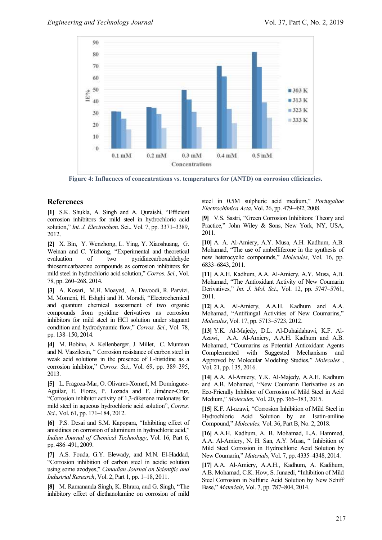

**Figure 4: Influences of concentrations vs. temperatures for (ANTD) on corrosion efficiencies.**

# **References**

**[1]** S.K. Shukla, A. Singh and A. Quraishi, "Efficient corrosion inhibitors for mild steel in hydrochloric acid solution," *Int. J. Electrochem*. Sci., Vol. 7, pp. 3371–3389, 2012.

**[2]** X. Bin, Y. Wenzhong, L. Ying, Y. Xiaoshuang, G. Weinan and C. Yizhong, "Experimental and theoretical evaluation of two pyridinecarboxaldehyde thiosemicarbazone compounds as corrosion inhibitors for mild steel in hydrochloric acid solution," *Corros. Sci*., Vol. 78, pp. 260–268, 2014.

**[3]** A. Kosari, M.H. Moayed, A. Davoodi, R. Parvizi, M. Momeni, H. Eshghi and H. Moradi, "Electrochemical and quantum chemical assessment of two organic compounds from pyridine derivatives as corrosion inhibitors for mild steel in HCl solution under stagnant condition and hydrodynamic flow," *Corros. Sci*., Vol. 78, pp. 138–150, 2014.

**[4]** M. Bobina, A. Kellenberger, J. Millet, C. Muntean and N. Vaszilcsin, " Corrosion resistance of carbon steel in weak acid solutions in the presence of L-histidine as a corrosion inhibitor," *Corros. Sci*., Vol. 69, pp. 389–395, 2013.

**[5]** L. Fragoza-Mar, O. Olivares-Xometl, M. Domínguez-Aguilar, E. Flores, P. Lozada and F. Jiménez-Cruz, "Corrosion inhibitor activity of 1,3-diketone malonates for mild steel in aqueous hydrochloric acid solution", *Corros. Sci.*, Vol. 61, pp. 171–184, 2012.

**[6]** P.S. Desai and S.M. Kapopara, "Inhibiting effect of anisidines on corrosion of aluminum in hydrochloric acid," *Indian Journal of Chemical Technology*, Vol. 16, Part 6, pp. 486–491, 2009.

**[7]** A.S. Fouda, G.Y. Elewady, and M.N. El-Haddad, "Corrosion inhibition of carbon steel in acidic solution using some azodyes," *Canadian Journal on Scientific and Industrial Research*, Vol. 2, Part 1, pp. 1–18, 2011.

**[8]** M. Ramananda Singh, K. Bhrara, and G. Singh, "The inhibitory effect of diethanolamine on corrosion of mild steel in 0.5M sulphuric acid medium," *Portugaliae Electrochimica Acta*, Vol. 26, pp. 479–492, 2008.

**[9]** V.S. Sastri, "Green Corrosion Inhibitors: Theory and Practice," John Wiley & Sons, New York, NY, USA, 2011.

**[10]** A. A. Al-Amiery, A.Y. Musa, A.H. Kadhum, A.B. Mohamad, "The use of umbelliferone in the synthesis of new heterocyclic compounds," *Molecules*, Vol. 16, pp. 6833–6843, 2011.

**[11]** A.A.H. Kadhum, A.A. Al-Amiery, A.Y. Musa, A.B. Mohamad, "The Antioxidant Activity of New Coumarin Derivatives," *Int. J. Mol. Sci*., Vol. 12, pp. 5747–5761, 2011.

**[12]** A.A. Al-Amiery, A.A.H. Kadhum and A.A. Mohamad, "Antifungal Activities of New Coumarins," *Molecules*, Vol. 17, pp. 5713–5723, 2012.

**[13]** Y.K. Al-Majedy, D.L. Al-Duhaidahawi, K.F. Al-Azawi, A.A. Al-Amiery, A.A.H. Kadhum and A.B. Mohamad, "Coumarins as Potential Antioxidant Agents Complemented with Suggested Mechanisms and Approved by Molecular Modeling Studies," *Molecules* , Vol. 21, pp. 135, 2016.

**[14]** A.A. Al-Amiery, Y.K. Al-Majedy, A.A.H. Kadhum and A.B. Mohamad, "New Coumarin Derivative as an Eco-Friendly Inhibitor of Corrosion of Mild Steel in Acid Medium," *Molecules*, Vol. 20, pp. 366–383, 2015.

**[15]** K.F. Al-azawi, "Corrosion Inhibition of Mild Steel in Hydrochloric Acid Solution by an Isatin-aniline Compound," *Molecules,* Vol. 36, Part B, No. 2, 2018.

**[16]** A.A.H. Kadhum, A. B. Mohamad, L.A. Hammed, A.A. Al-Amiery, N. H. San, A.Y. Musa, " Inhibition of Mild Steel Corrosion in Hydrochloric Acid Solution by New Coumarin," *Materials*, Vol. 7, pp. 4335–4348, 2014.

**[17]** A.A. Al-Amiery, A.A.H., Kadhum, A. Kadihum, A.B. Mohamad, C.K. How, S. Junaedi, "Inhibition of Mild Steel Corrosion in Sulfuric Acid Solution by New Schiff Base," *Materials*, Vol. 7, pp. 787–804, 2014.